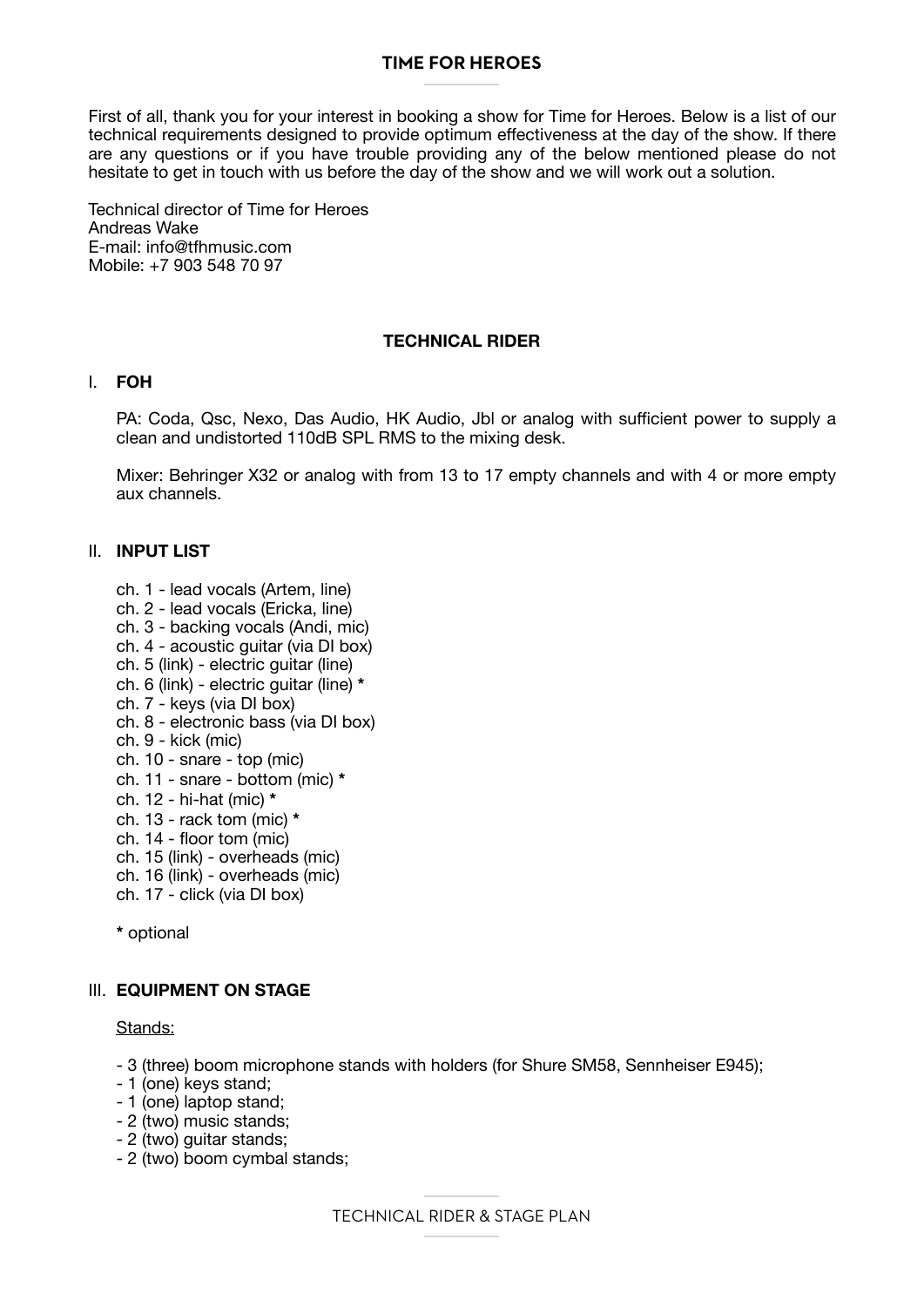# **TIME FOR HEROES**

First of all, thank you for your interest in booking a show for Time for Heroes. Below is a list of our technical requirements designed to provide optimum effectiveness at the day of the show. If there are any questions or if you have trouble providing any of the below mentioned please do not hesitate to get in touch with us before the day of the show and we will work out a solution.

Technical director of Time for Heroes Andreas Wake E-mail: info@tfhmusic.com Mobile: +7 903 548 70 97

## **TECHNICAL RIDER**

## I. **FOH**

PA: Coda, Qsc, Nexo, Das Audio, HK Audio, Jbl or analog with sufficient power to supply a clean and undistorted 110dB SPL RMS to the mixing desk.

Mixer: Behringer X32 or analog with from 13 to 17 empty channels and with 4 or more empty aux channels.

# II. **INPUT LIST**

- ch. 1 lead vocals (Artem, line)
- ch. 2 lead vocals (Ericka, line)
- ch. 3 backing vocals (Andi, mic)
- ch. 4 acoustic guitar (via DI box)
- ch. 5 (link) electric guitar (line)
- ch. 6 (link) electric guitar (line) **\***
- ch. 7 keys (via DI box)
- ch. 8 electronic bass (via DI box)
- ch. 9 kick (mic)
- ch. 10 snare top (mic)
- ch. 11 snare bottom (mic) **\***
- ch. 12 hi-hat (mic) **\***
- ch. 13 rack tom (mic) **\***
- ch. 14 floor tom (mic)
- ch. 15 (link) overheads (mic)
- ch. 16 (link) overheads (mic)
- ch. 17 click (via DI box)

**\*** optional

## III. **EQUIPMENT ON STAGE**

#### Stands:

- 3 (three) boom microphone stands with holders (for Shure SM58, Sennheiser E945);
- 1 (one) keys stand;
- 1 (one) laptop stand;
- 2 (two) music stands;
- 2 (two) guitar stands;
- 2 (two) boom cymbal stands;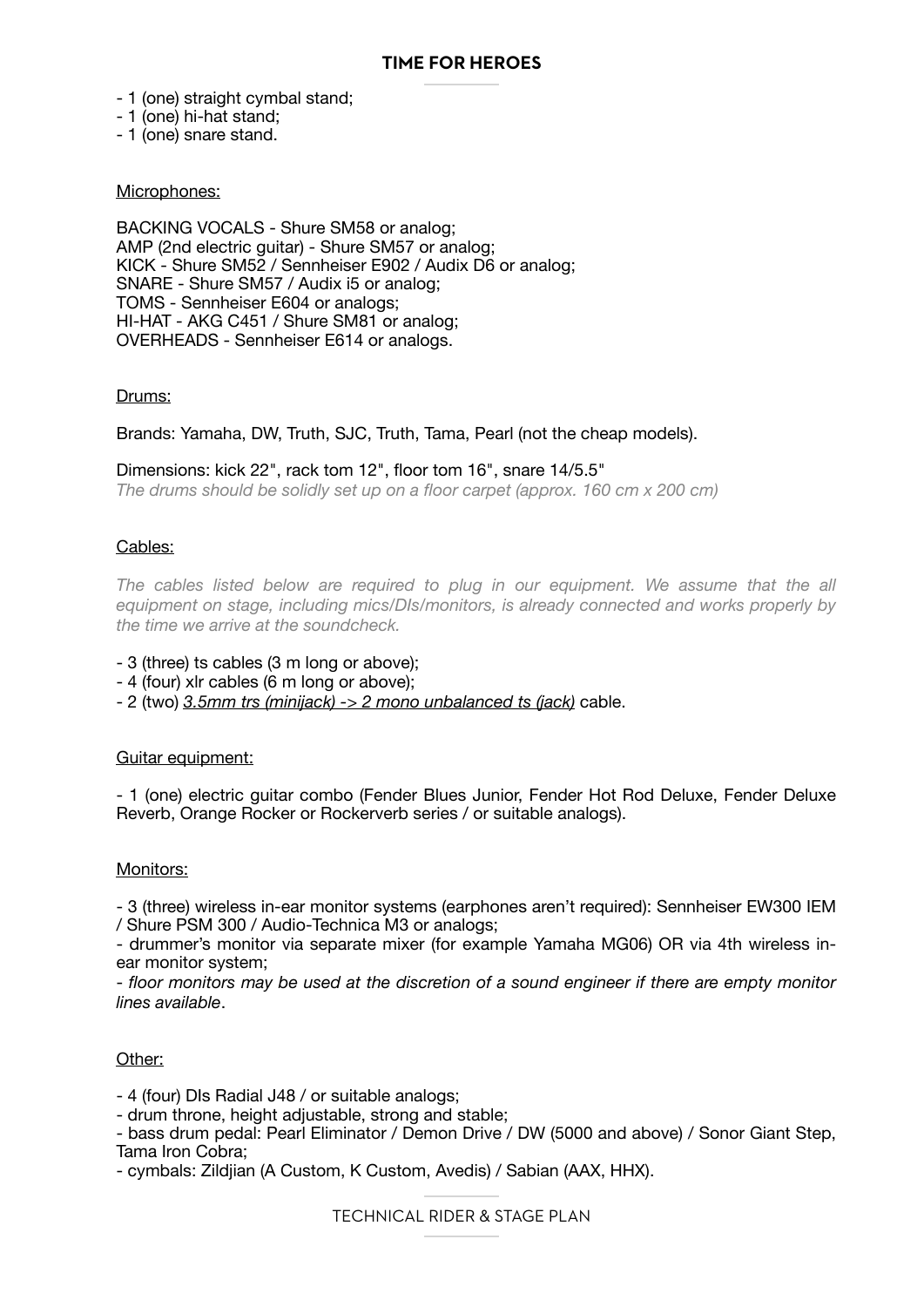- 1 (one) straight cymbal stand;
- 1 (one) hi-hat stand;
- 1 (one) snare stand.

## Microphones:

BACKING VOCALS - Shure SM58 or analog; AMP (2nd electric guitar) - Shure SM57 or analog; KICK - Shure SM52 / Sennheiser E902 / Audix D6 or analog; SNARE - Shure SM57 / Audix i5 or analog; TOMS - Sennheiser E604 or analogs; HI-HAT - AKG C451 / Shure SM81 or analog; OVERHEADS - Sennheiser E614 or analogs.

### Drums:

Brands: Yamaha, DW, Truth, SJC, Truth, Tama, Pearl (not the cheap models).

#### Dimensions: kick 22", rack tom 12", floor tom 16", snare 14/5.5"

*The drums should be solidly set up on a floor carpet (approx. 160 cm x 200 cm)*

### Cables:

The cables listed below are required to plug in our equipment. We assume that the all equipment on stage, including mics/DIs/monitors, is already connected and works properly by *the time we arrive at the soundcheck.*

- 3 (three) ts cables (3 m long or above);
- 4 (four) xlr cables (6 m long or above);
- 2 (two) *3.5mm trs (minijack) -> 2 mono unbalanced ts (jack)* cable.

#### Guitar equipment:

- 1 (one) electric guitar combo (Fender Blues Junior, Fender Hot Rod Deluxe, Fender Deluxe Reverb, Orange Rocker or Rockerverb series / or suitable analogs).

## Monitors:

- 3 (three) wireless in-ear monitor systems (earphones aren't required): Sennheiser EW300 IEM / Shure PSM 300 / Audio-Technica M3 or analogs;

- drummer's monitor via separate mixer (for example Yamaha MG06) OR via 4th wireless inear monitor system;

- *floor monitors may be used at the discretion of a sound engineer if there are empty monitor lines available*.

## Other:

- 4 (four) DIs Radial J48 / or suitable analogs;

- drum throne, height adjustable, strong and stable;
- bass drum pedal: Pearl Eliminator / Demon Drive / DW (5000 and above) / Sonor Giant Step, Tama Iron Cobra;
- cymbals: Zildjian (A Custom, K Custom, Avedis) / Sabian (AAX, HHX).

TECHNICAL RIDER & STAGE PLAN